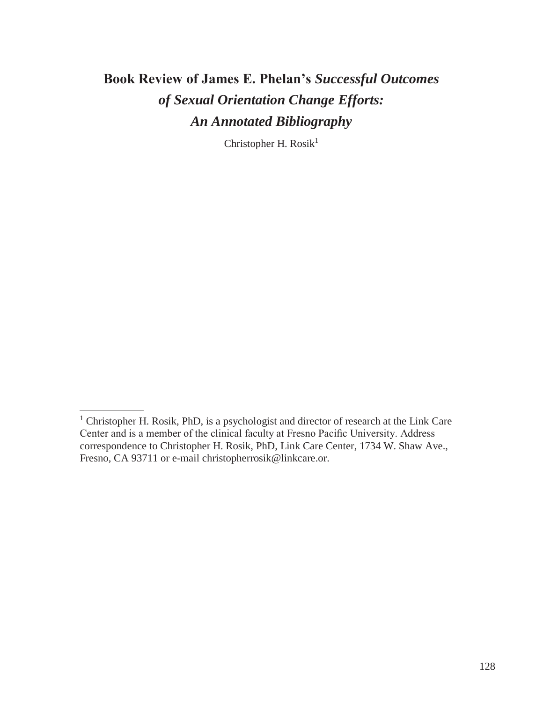## **Book Review of James E. Phelan's** *Successful Outcomes of Sexual Orientation Change Efforts: An Annotated Bibliography*

Christopher H. Rosik<sup>1</sup>

<sup>&</sup>lt;sup>1</sup> Christopher H. Rosik, PhD, is a psychologist and director of research at the Link Care Center and is a member of the clinical faculty at Fresno Pacific University. Address correspondence to Christopher H. Rosik, PhD, Link Care Center, 1734 W. Shaw Ave., Fresno, CA 93711 or e-mail [christopherrosik@linkcare.or.](mailto:christopherrosik@linkcare.or)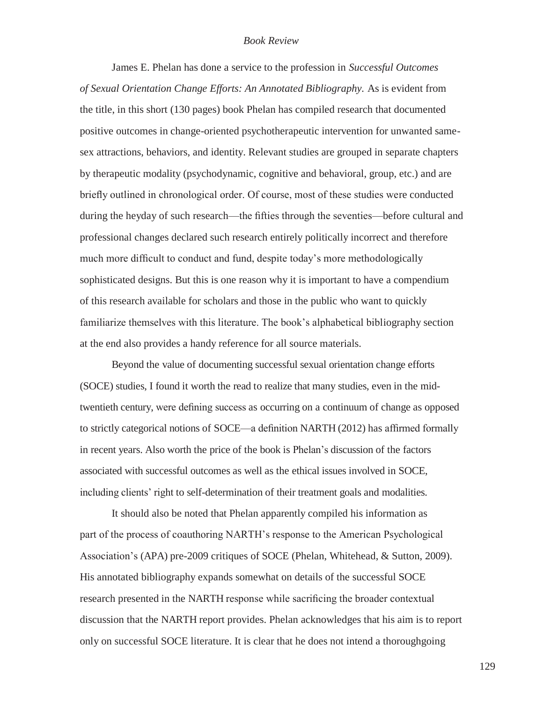## *Book Review*

James E. Phelan has done a service to the profession in *Successful Outcomes of Sexual Orientation Change Efforts: An Annotated Bibliography.* As is evident from the title, in this short (130 pages) book Phelan has compiled research that documented positive outcomes in change-oriented psychotherapeutic intervention for unwanted samesex attractions, behaviors, and identity. Relevant studies are grouped in separate chapters by therapeutic modality (psychodynamic, cognitive and behavioral, group, etc.) and are briefly outlined in chronological order. Of course, most of these studies were conducted during the heyday of such research—the fifties through the seventies—before cultural and professional changes declared such research entirely politically incorrect and therefore much more difficult to conduct and fund, despite today's more methodologically sophisticated designs. But this is one reason why it is important to have a compendium of this research available for scholars and those in the public who want to quickly familiarize themselves with this literature. The book's alphabetical bibliography section at the end also provides a handy reference for all source materials.

Beyond the value of documenting successful sexual orientation change efforts (SOCE) studies, I found it worth the read to realize that many studies, even in the midtwentieth century, were defining success as occurring on a continuum of change as opposed to strictly categorical notions of SOCE—a definition NARTH (2012) has affirmed formally in recent years. Also worth the price of the book is Phelan's discussion of the factors associated with successful outcomes as well as the ethical issues involved in SOCE, including clients' right to self-determination of their treatment goals and modalities.

It should also be noted that Phelan apparently compiled his information as part of the process of coauthoring NARTH's response to the American Psychological Association's (APA) pre-2009 critiques of SOCE (Phelan, Whitehead, & Sutton, 2009). His annotated bibliography expands somewhat on details of the successful SOCE research presented in the NARTH response while sacrificing the broader contextual discussion that the NARTH report provides. Phelan acknowledges that his aim is to report only on successful SOCE literature. It is clear that he does not intend a thoroughgoing

129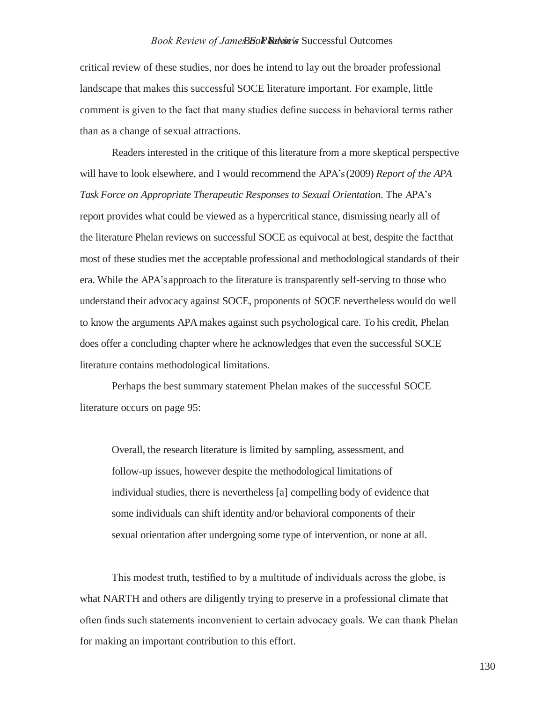## *Book Review of James E. Phelan's Book Review* Successful Outcomes

critical review of these studies, nor does he intend to lay out the broader professional landscape that makes this successful SOCE literature important. For example, little comment is given to the fact that many studies define success in behavioral terms rather than as a change of sexual attractions.

Readers interested in the critique of this literature from a more skeptical perspective will have to look elsewhere, and I would recommend the APA's (2009) *Report of the APA Task Force on Appropriate Therapeutic Responses to Sexual Orientation*. The APA's report provides what could be viewed as a hypercritical stance, dismissing nearly all of the literature Phelan reviews on successful SOCE as equivocal at best, despite the factthat most of these studies met the acceptable professional and methodological standards of their era. While the APA's approach to the literature is transparently self-serving to those who understand their advocacy against SOCE, proponents of SOCE nevertheless would do well to know the arguments APA makes against such psychological care. To his credit, Phelan does offer a concluding chapter where he acknowledges that even the successful SOCE literature contains methodological limitations.

Perhaps the best summary statement Phelan makes of the successful SOCE literature occurs on page 95:

Overall, the research literature is limited by sampling, assessment, and follow-up issues, however despite the methodological limitations of individual studies, there is nevertheless [a] compelling body of evidence that some individuals can shift identity and/or behavioral components of their sexual orientation after undergoing some type of intervention, or none at all.

This modest truth, testified to by a multitude of individuals across the globe, is what NARTH and others are diligently trying to preserve in a professional climate that often finds such statements inconvenient to certain advocacy goals. We can thank Phelan for making an important contribution to this effort.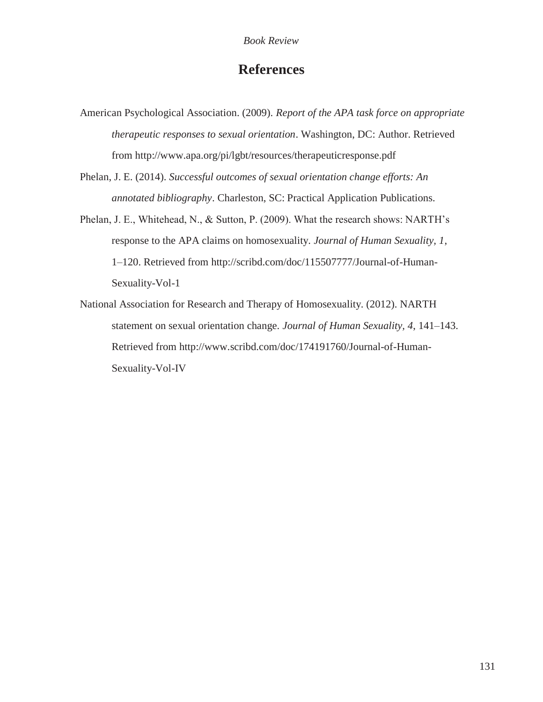## **References**

- American Psychological Association. (2009). *Report of the APA task force on appropriate therapeutic responses to sexual orientation*. Washington, DC: Author. Retrieved from<http://www.apa.org/pi/lgbt/resources/therapeuticresponse.pdf>
- Phelan, J. E. (2014). *Successful outcomes of sexual orientation change efforts: An annotated bibliography*. Charleston, SC: Practical Application Publications.
- Phelan, J. E., Whitehead, N., & Sutton, P. (2009). What the research shows: NARTH's response to the APA claims on homosexuality. *Journal of Human Sexuality, 1*, 1–120. Retrieved from<http://scribd.com/doc/115507777/Journal-of-Human->Sexuality-Vol-1
- National Association for Research and Therapy of Homosexuality. (2012). NARTH statement on sexual orientation change. *Journal of Human Sexuality, 4*, 141–143. Retrieved from<http://www.scribd.com/doc/174191760/Journal-of-Human->Sexuality-Vol-IV